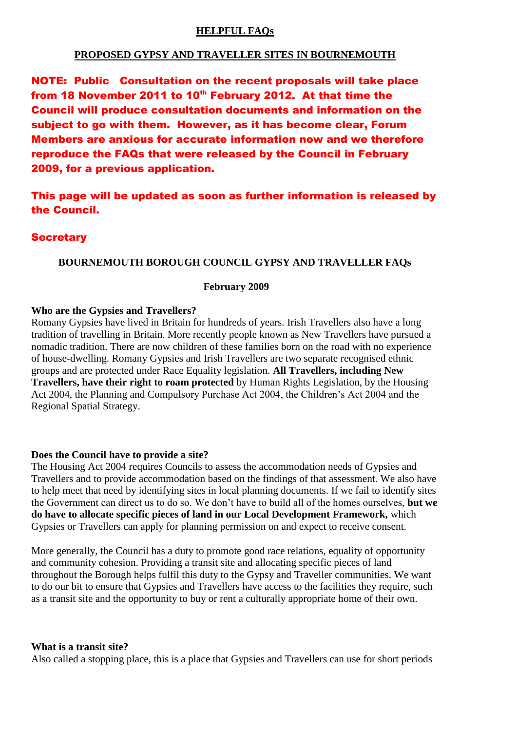### **HELPFUL FAQs**

## **PROPOSED GYPSY AND TRAVELLER SITES IN BOURNEMOUTH**

NOTE: Public Consultation on the recent proposals will take place from 18 November 2011 to 10<sup>th</sup> February 2012. At that time the Council will produce consultation documents and information on the subject to go with them. However, as it has become clear, Forum Members are anxious for accurate information now and we therefore reproduce the FAQs that were released by the Council in February 2009, for a previous application.

This page will be updated as soon as further information is released by the Council.

## **Secretary**

### **BOURNEMOUTH BOROUGH COUNCIL GYPSY AND TRAVELLER FAQs**

#### **February 2009**

#### **Who are the Gypsies and Travellers?**

Romany Gypsies have lived in Britain for hundreds of years. Irish Travellers also have a long tradition of travelling in Britain. More recently people known as New Travellers have pursued a nomadic tradition. There are now children of these families born on the road with no experience of house-dwelling. Romany Gypsies and Irish Travellers are two separate recognised ethnic groups and are protected under Race Equality legislation. **All Travellers, including New Travellers, have their right to roam protected** by Human Rights Legislation, by the Housing Act 2004, the Planning and Compulsory Purchase Act 2004, the Children's Act 2004 and the Regional Spatial Strategy.

#### **Does the Council have to provide a site?**

The Housing Act 2004 requires Councils to assess the accommodation needs of Gypsies and Travellers and to provide accommodation based on the findings of that assessment. We also have to help meet that need by identifying sites in local planning documents. If we fail to identify sites the Government can direct us to do so. We don't have to build all of the homes ourselves, **but we do have to allocate specific pieces of land in our Local Development Framework,** which Gypsies or Travellers can apply for planning permission on and expect to receive consent.

More generally, the Council has a duty to promote good race relations, equality of opportunity and community cohesion. Providing a transit site and allocating specific pieces of land throughout the Borough helps fulfil this duty to the Gypsy and Traveller communities. We want to do our bit to ensure that Gypsies and Travellers have access to the facilities they require, such as a transit site and the opportunity to buy or rent a culturally appropriate home of their own.

#### **What is a transit site?**

Also called a stopping place, this is a place that Gypsies and Travellers can use for short periods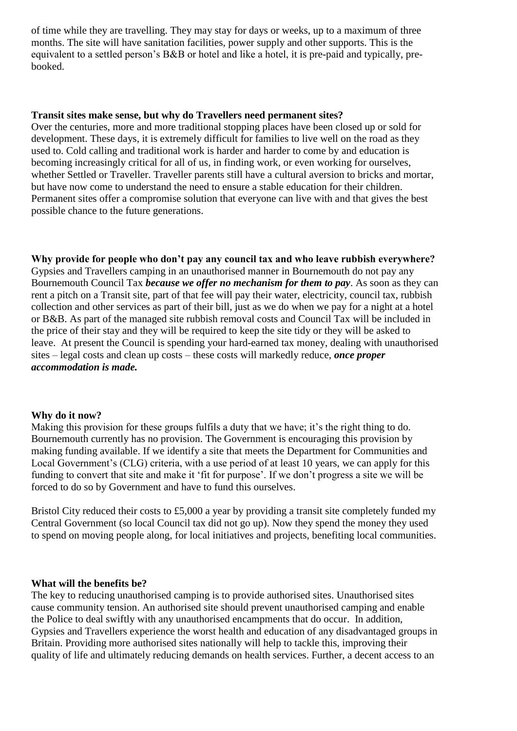of time while they are travelling. They may stay for days or weeks, up to a maximum of three months. The site will have sanitation facilities, power supply and other supports. This is the equivalent to a settled person's B&B or hotel and like a hotel, it is pre-paid and typically, prebooked.

### **Transit sites make sense, but why do Travellers need permanent sites?**

Over the centuries, more and more traditional stopping places have been closed up or sold for development. These days, it is extremely difficult for families to live well on the road as they used to. Cold calling and traditional work is harder and harder to come by and education is becoming increasingly critical for all of us, in finding work, or even working for ourselves, whether Settled or Traveller. Traveller parents still have a cultural aversion to bricks and mortar, but have now come to understand the need to ensure a stable education for their children. Permanent sites offer a compromise solution that everyone can live with and that gives the best possible chance to the future generations.

**Why provide for people who don't pay any council tax and who leave rubbish everywhere?** Gypsies and Travellers camping in an unauthorised manner in Bournemouth do not pay any Bournemouth Council Tax *because we offer no mechanism for them to pay*. As soon as they can rent a pitch on a Transit site, part of that fee will pay their water, electricity, council tax, rubbish collection and other services as part of their bill, just as we do when we pay for a night at a hotel or B&B. As part of the managed site rubbish removal costs and Council Tax will be included in the price of their stay and they will be required to keep the site tidy or they will be asked to leave. At present the Council is spending your hard-earned tax money, dealing with unauthorised sites – legal costs and clean up costs – these costs will markedly reduce, *once proper accommodation is made.*

### **Why do it now?**

Making this provision for these groups fulfils a duty that we have; it's the right thing to do. Bournemouth currently has no provision. The Government is encouraging this provision by making funding available. If we identify a site that meets the Department for Communities and Local Government's (CLG) criteria, with a use period of at least 10 years, we can apply for this funding to convert that site and make it 'fit for purpose'. If we don't progress a site we will be forced to do so by Government and have to fund this ourselves.

Bristol City reduced their costs to £5,000 a year by providing a transit site completely funded my Central Government (so local Council tax did not go up). Now they spend the money they used to spend on moving people along, for local initiatives and projects, benefiting local communities.

# **What will the benefits be?**

The key to reducing unauthorised camping is to provide authorised sites. Unauthorised sites cause community tension. An authorised site should prevent unauthorised camping and enable the Police to deal swiftly with any unauthorised encampments that do occur. In addition, Gypsies and Travellers experience the worst health and education of any disadvantaged groups in Britain. Providing more authorised sites nationally will help to tackle this, improving their quality of life and ultimately reducing demands on health services. Further, a decent access to an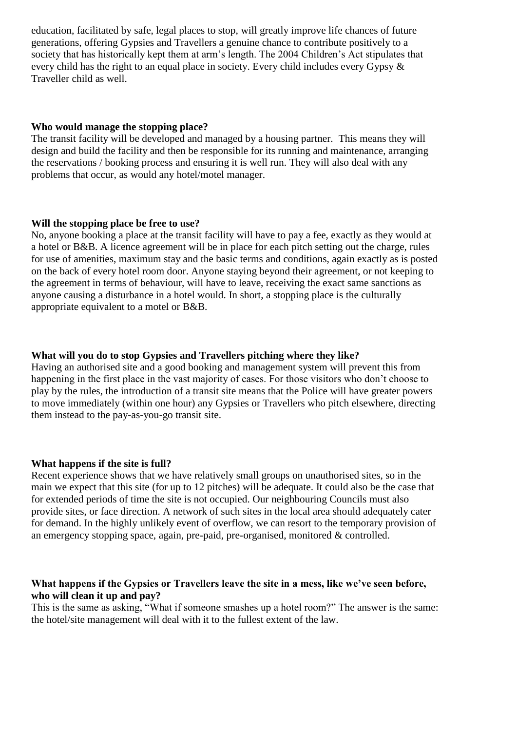education, facilitated by safe, legal places to stop, will greatly improve life chances of future generations, offering Gypsies and Travellers a genuine chance to contribute positively to a society that has historically kept them at arm's length. The 2004 Children's Act stipulates that every child has the right to an equal place in society. Every child includes every Gypsy & Traveller child as well.

#### **Who would manage the stopping place?**

The transit facility will be developed and managed by a housing partner. This means they will design and build the facility and then be responsible for its running and maintenance, arranging the reservations / booking process and ensuring it is well run. They will also deal with any problems that occur, as would any hotel/motel manager.

#### **Will the stopping place be free to use?**

No, anyone booking a place at the transit facility will have to pay a fee, exactly as they would at a hotel or B&B. A licence agreement will be in place for each pitch setting out the charge, rules for use of amenities, maximum stay and the basic terms and conditions, again exactly as is posted on the back of every hotel room door. Anyone staying beyond their agreement, or not keeping to the agreement in terms of behaviour, will have to leave, receiving the exact same sanctions as anyone causing a disturbance in a hotel would. In short, a stopping place is the culturally appropriate equivalent to a motel or B&B.

### **What will you do to stop Gypsies and Travellers pitching where they like?**

Having an authorised site and a good booking and management system will prevent this from happening in the first place in the vast majority of cases. For those visitors who don't choose to play by the rules, the introduction of a transit site means that the Police will have greater powers to move immediately (within one hour) any Gypsies or Travellers who pitch elsewhere, directing them instead to the pay-as-you-go transit site.

#### **What happens if the site is full?**

Recent experience shows that we have relatively small groups on unauthorised sites, so in the main we expect that this site (for up to 12 pitches) will be adequate. It could also be the case that for extended periods of time the site is not occupied. Our neighbouring Councils must also provide sites, or face direction. A network of such sites in the local area should adequately cater for demand. In the highly unlikely event of overflow, we can resort to the temporary provision of an emergency stopping space, again, pre-paid, pre-organised, monitored & controlled.

## **What happens if the Gypsies or Travellers leave the site in a mess, like we've seen before, who will clean it up and pay?**

This is the same as asking, "What if someone smashes up a hotel room?" The answer is the same: the hotel/site management will deal with it to the fullest extent of the law.